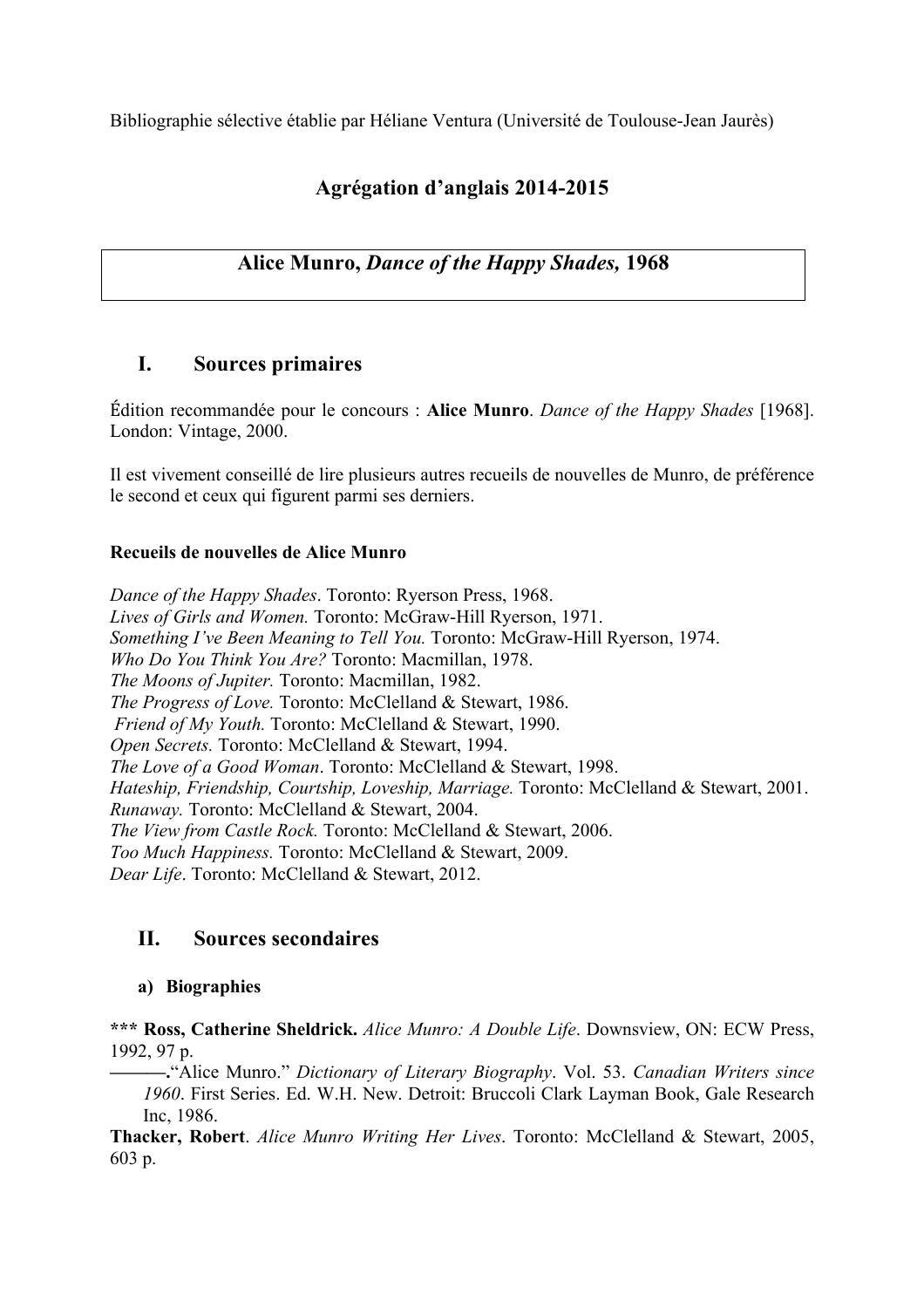Bibliographie sélective établie par Héliane Ventura (Université de Toulouse-Jean Jaurès)

# **Agrégation d'anglais 2014-2015**

# **Alice Munro,** *Dance of the Happy Shades,* **1968**

# **I. Sources primaires**

Édition recommandée pour le concours : **Alice Munro**. *Dance of the Happy Shades* [1968]. London: Vintage, 2000.

Il est vivement conseillé de lire plusieurs autres recueils de nouvelles de Munro, de préférence le second et ceux qui figurent parmi ses derniers.

# **Recueils de nouvelles de Alice Munro**

*Dance of the Happy Shades*. Toronto: Ryerson Press, 1968. *Lives of Girls and Women.* Toronto: McGraw-Hill Ryerson, 1971. *Something I've Been Meaning to Tell You.* Toronto: McGraw-Hill Ryerson, 1974. *Who Do You Think You Are?* Toronto: Macmillan, 1978. *The Moons of Jupiter.* Toronto: Macmillan, 1982. *The Progress of Love.* Toronto: McClelland & Stewart, 1986. *Friend of My Youth.* Toronto: McClelland & Stewart, 1990. *Open Secrets.* Toronto: McClelland & Stewart, 1994. *The Love of a Good Woman*. Toronto: McClelland & Stewart, 1998. *Hateship, Friendship, Courtship, Loveship, Marriage.* Toronto: McClelland & Stewart, 2001. *Runaway.* Toronto: McClelland & Stewart, 2004. *The View from Castle Rock.* Toronto: McClelland & Stewart, 2006. *Too Much Happiness.* Toronto: McClelland & Stewart, 2009. *Dear Life*. Toronto: McClelland & Stewart, 2012.

# **II. Sources secondaires**

# **a) Biographies**

**\*\*\* Ross, Catherine Sheldrick.** *Alice Munro: A Double Life*. Downsview, ON: ECW Press, 1992, 97 p.

**———.**"Alice Munro." *Dictionary of Literary Biography*. Vol. 53. *Canadian Writers since 1960*. First Series. Ed. W.H. New. Detroit: Bruccoli Clark Layman Book, Gale Research Inc, 1986.

**Thacker, Robert**. *Alice Munro Writing Her Lives*. Toronto: McClelland & Stewart, 2005, 603 p.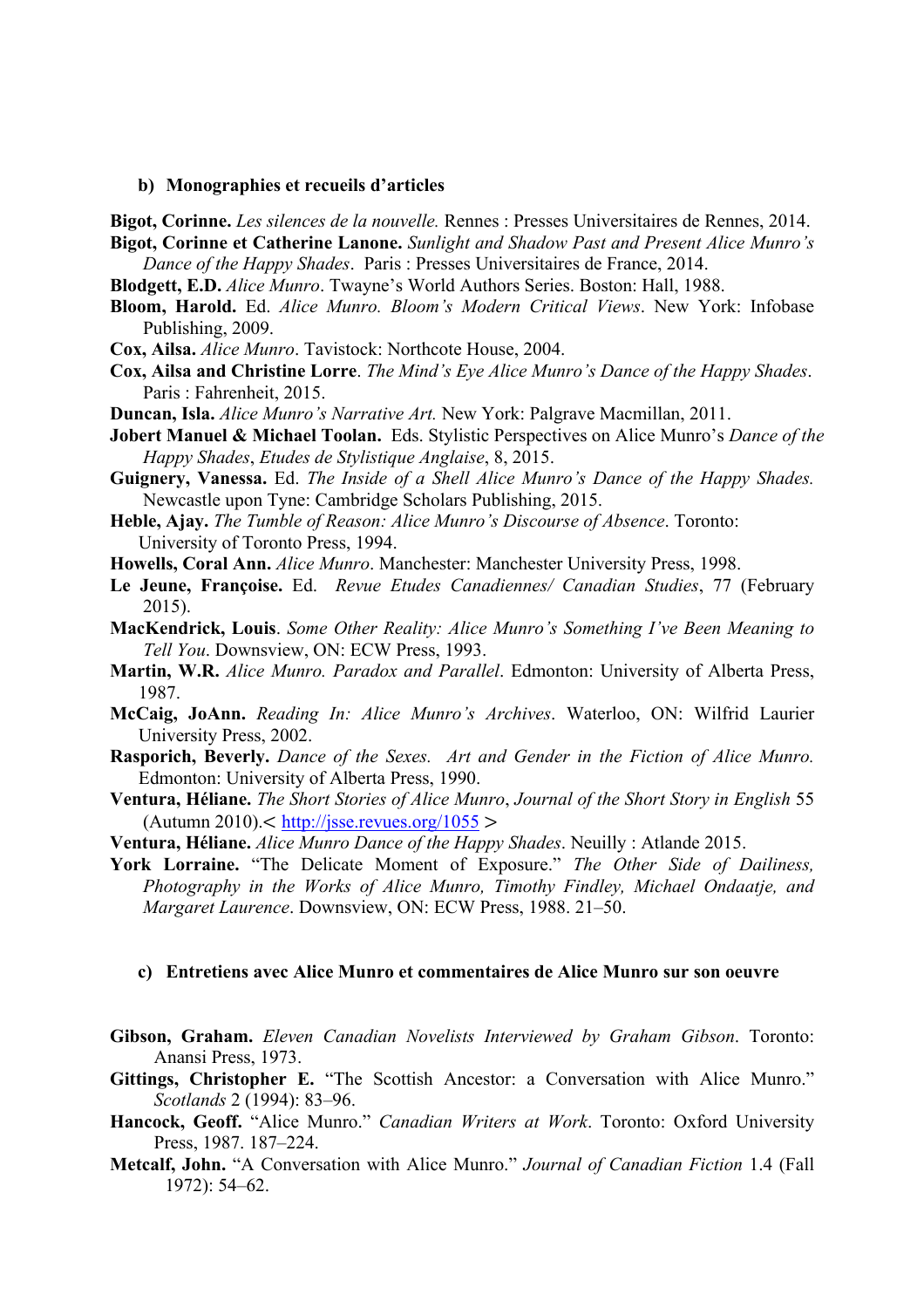#### **b) Monographies et recueils d'articles**

**Bigot, Corinne.** *Les silences de la nouvelle.* Rennes : Presses Universitaires de Rennes, 2014.

- **Bigot, Corinne et Catherine Lanone.** *Sunlight and Shadow Past and Present Alice Munro's Dance of the Happy Shades*. Paris : Presses Universitaires de France, 2014.
- **Blodgett, E.D.** *Alice Munro*. Twayne's World Authors Series. Boston: Hall, 1988.
- **Bloom, Harold.** Ed. *Alice Munro. Bloom's Modern Critical Views*. New York: Infobase Publishing, 2009.
- **Cox, Ailsa.** *Alice Munro*. Tavistock: Northcote House, 2004.
- **Cox, Ailsa and Christine Lorre**. *The Mind's Eye Alice Munro's Dance of the Happy Shades*. Paris : Fahrenheit, 2015.
- **Duncan, Isla.** *Alice Munro's Narrative Art.* New York: Palgrave Macmillan, 2011.
- **Jobert Manuel & Michael Toolan.** Eds. Stylistic Perspectives on Alice Munro's *Dance of the Happy Shades*, *Etudes de Stylistique Anglaise*, 8, 2015.
- **Guignery, Vanessa.** Ed. *The Inside of a Shell Alice Munro's Dance of the Happy Shades.*  Newcastle upon Tyne: Cambridge Scholars Publishing, 2015.
- **Heble, Ajay.** *The Tumble of Reason: Alice Munro's Discourse of Absence*. Toronto: University of Toronto Press, 1994.

**Howells, Coral Ann.** *Alice Munro*. Manchester: Manchester University Press, 1998.

- **Le Jeune, Françoise.** Ed. *Revue Etudes Canadiennes/ Canadian Studies*, 77 (February 2015).
- **MacKendrick, Louis**. *Some Other Reality: Alice Munro's Something I've Been Meaning to Tell You*. Downsview, ON: ECW Press, 1993.
- **Martin, W.R.** *Alice Munro. Paradox and Parallel*. Edmonton: University of Alberta Press, 1987.
- **McCaig, JoAnn.** *Reading In: Alice Munro's Archives*. Waterloo, ON: Wilfrid Laurier University Press, 2002.
- **Rasporich, Beverly.** *Dance of the Sexes. Art and Gender in the Fiction of Alice Munro.* Edmonton: University of Alberta Press, 1990.
- **Ventura, Héliane.** *The Short Stories of Alice Munro*, *Journal of the Short Story in English* 55  $(Autumn 2010)$ .  $\lt$  http://jsse.revues.org/1055 >
- **Ventura, Héliane.** *Alice Munro Dance of the Happy Shades*. Neuilly : Atlande 2015.
- **York Lorraine.** "The Delicate Moment of Exposure." *The Other Side of Dailiness, Photography in the Works of Alice Munro, Timothy Findley, Michael Ondaatje, and Margaret Laurence*. Downsview, ON: ECW Press, 1988. 21–50.

#### **c) Entretiens avec Alice Munro et commentaires de Alice Munro sur son oeuvre**

- **Gibson, Graham.** *Eleven Canadian Novelists Interviewed by Graham Gibson*. Toronto: Anansi Press, 1973.
- **Gittings, Christopher E.** "The Scottish Ancestor: a Conversation with Alice Munro." *Scotlands* 2 (1994): 83–96.
- **Hancock, Geoff.** "Alice Munro." *Canadian Writers at Work*. Toronto: Oxford University Press, 1987. 187–224.
- **Metcalf, John.** "A Conversation with Alice Munro." *Journal of Canadian Fiction* 1.4 (Fall 1972): 54–62.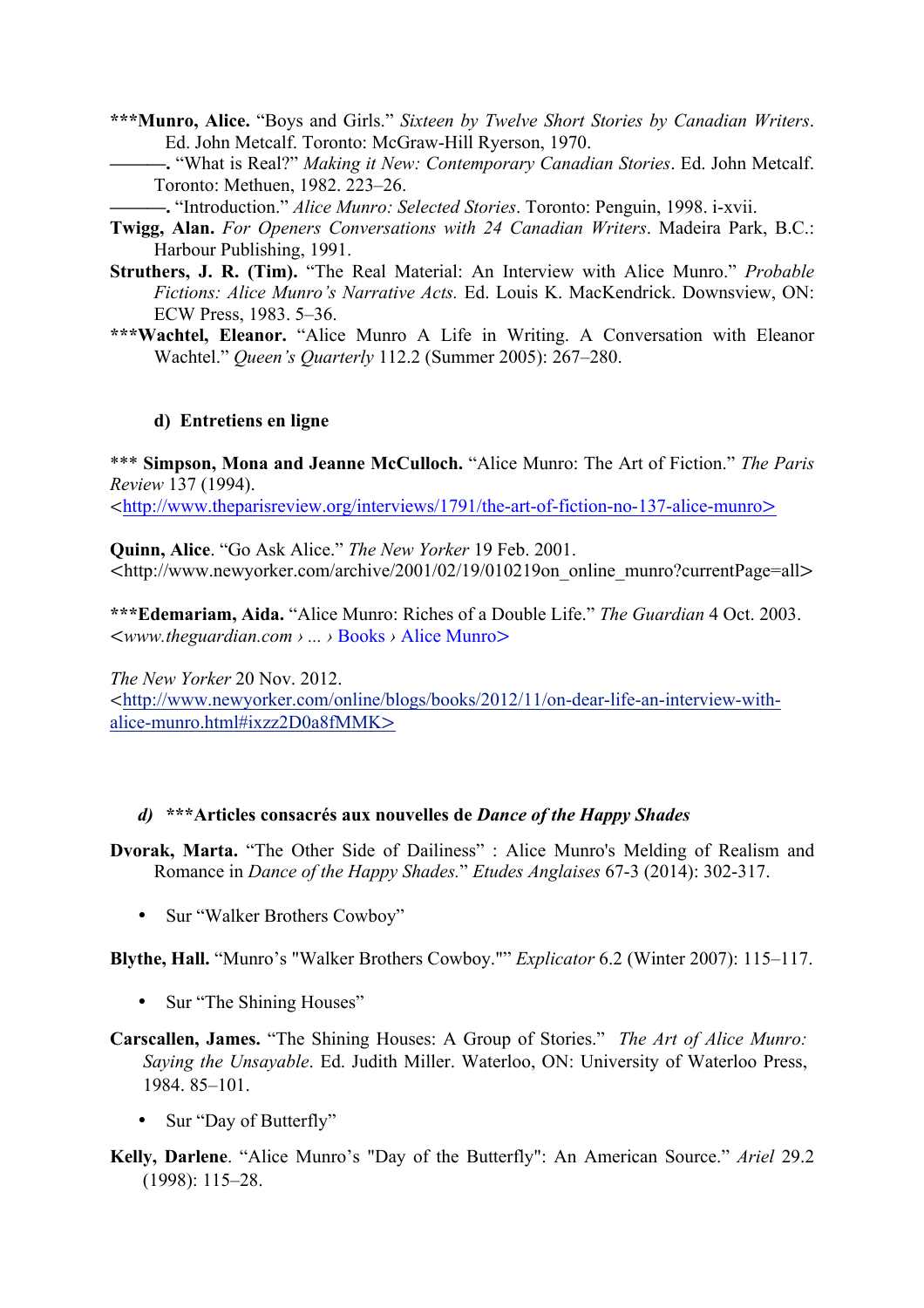- **\*\*\*Munro, Alice.** "Boys and Girls." *Sixteen by Twelve Short Stories by Canadian Writers*. Ed. John Metcalf. Toronto: McGraw-Hill Ryerson, 1970.
	- **———.** "What is Real?" *Making it New: Contemporary Canadian Stories*. Ed. John Metcalf. Toronto: Methuen, 1982. 223–26.
		- **———.** "Introduction." *Alice Munro: Selected Stories*. Toronto: Penguin, 1998. i-xvii.
- **Twigg, Alan.** *For Openers Conversations with 24 Canadian Writers*. Madeira Park, B.C.: Harbour Publishing, 1991.
- **Struthers, J. R. (Tim).** "The Real Material: An Interview with Alice Munro." *Probable Fictions: Alice Munro's Narrative Acts.* Ed. Louis K. MacKendrick. Downsview, ON: ECW Press, 1983. 5–36.
- **\*\*\*Wachtel, Eleanor.** "Alice Munro A Life in Writing. A Conversation with Eleanor Wachtel." *Queen's Quarterly* 112.2 (Summer 2005): 267–280.

## **d) Entretiens en ligne**

\*\*\* **Simpson, Mona and Jeanne McCulloch.** "Alice Munro: The Art of Fiction." *The Paris Review* 137 (1994).

<http://www.theparisreview.org/interviews/1791/the-art-of-fiction-no-137-alice-munro>

**Quinn, Alice**. "Go Ask Alice." *The New Yorker* 19 Feb. 2001. <http://www.newyorker.com/archive/2001/02/19/010219on\_online\_munro?currentPage=all>

**\*\*\*Edemariam, Aida.** "Alice Munro: Riches of a Double Life." *The Guardian* 4 Oct. 2003. <*www.theguardian.com › ... ›* Books *›* Alice Munro>

*The New Yorker* 20 Nov. 2012.

<http://www.newyorker.com/online/blogs/books/2012/11/on-dear-life-an-interview-withalice-munro.html#ixzz2D0a8fMMK>

## *d)* **\*\*\*Articles consacrés aux nouvelles de** *Dance of the Happy Shades*

**Dvorak, Marta.** "The Other Side of Dailiness" : Alice Munro's Melding of Realism and Romance in *Dance of the Happy Shades.*" *Etudes Anglaises* 67-3 (2014): 302-317.

• Sur "Walker Brothers Cowboy"

**Blythe, Hall.** "Munro's "Walker Brothers Cowboy."" *Explicator* 6.2 (Winter 2007): 115–117.

- Sur "The Shining Houses"
- **Carscallen, James.** "The Shining Houses: A Group of Stories." *The Art of Alice Munro: Saying the Unsayable*. Ed. Judith Miller. Waterloo, ON: University of Waterloo Press, 1984. 85–101.
	- Sur "Day of Butterfly"
- **Kelly, Darlene**. "Alice Munro's "Day of the Butterfly": An American Source." *Ariel* 29.2 (1998): 115–28.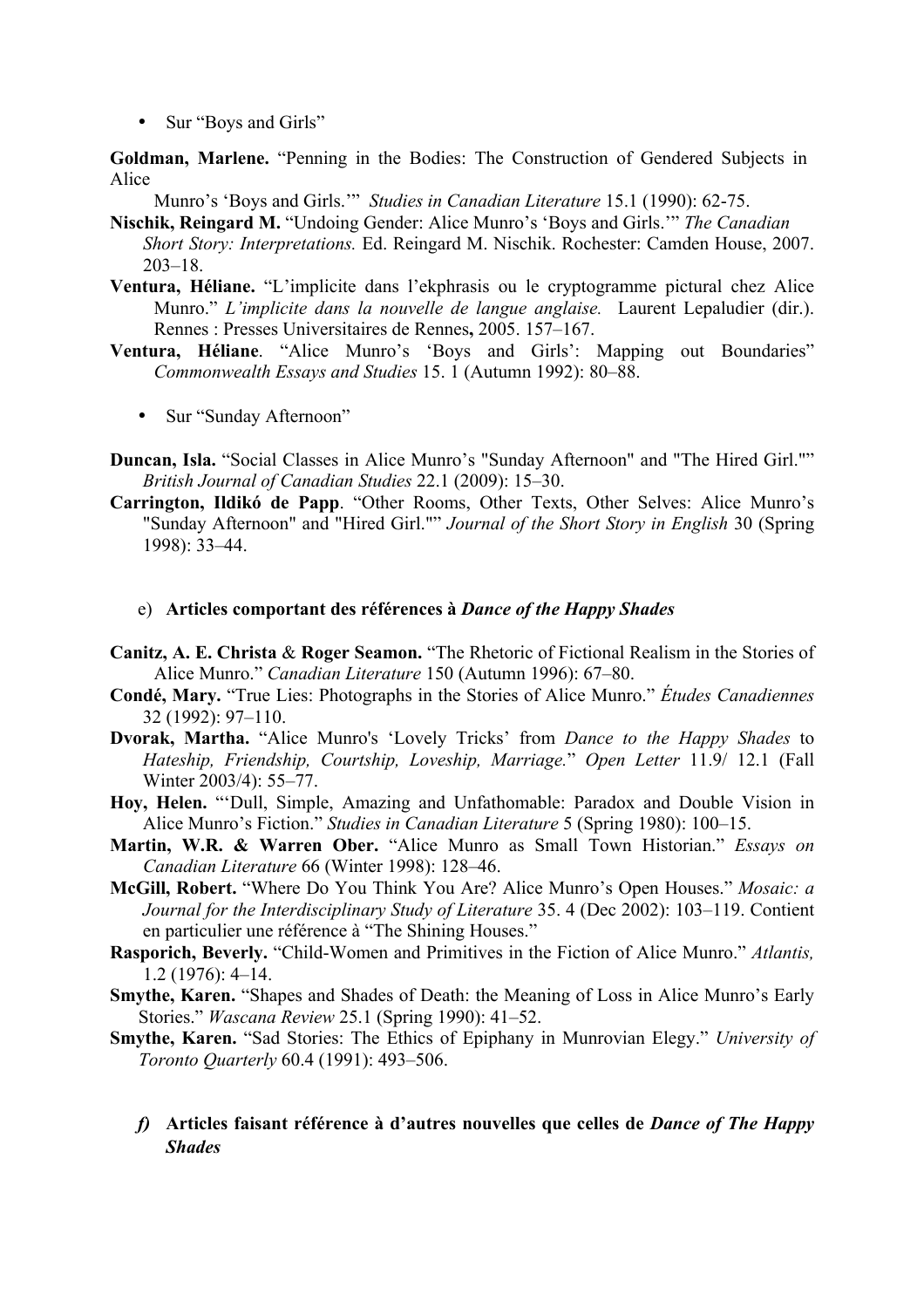• Sur "Boys and Girls"

**Goldman, Marlene.** "Penning in the Bodies: The Construction of Gendered Subjects in Alice

Munro's 'Boys and Girls.'" *Studies in Canadian Literature* 15.1 (1990): 62-75.

- **Nischik, Reingard M.** "Undoing Gender: Alice Munro's 'Boys and Girls.'" *The Canadian Short Story: Interpretations.* Ed. Reingard M. Nischik. Rochester: Camden House, 2007. 203–18.
- **Ventura, Héliane.** "L'implicite dans l'ekphrasis ou le cryptogramme pictural chez Alice Munro." *L'implicite dans la nouvelle de langue anglaise.* Laurent Lepaludier (dir.). Rennes : Presses Universitaires de Rennes**,** 2005. 157–167.
- **Ventura, Héliane**. "Alice Munro's 'Boys and Girls': Mapping out Boundaries" *Commonwealth Essays and Studies* 15. 1 (Autumn 1992): 80–88.
	- Sur "Sunday Afternoon"
- **Duncan, Isla.** "Social Classes in Alice Munro's "Sunday Afternoon" and "The Hired Girl."" *British Journal of Canadian Studies* 22.1 (2009): 15–30.
- **Carrington, Ildikó de Papp**. "Other Rooms, Other Texts, Other Selves: Alice Munro's "Sunday Afternoon" and "Hired Girl."" *Journal of the Short Story in English* 30 (Spring 1998): 33–44.

#### e) **Articles comportant des références à** *Dance of the Happy Shades*

- **Canitz, A. E. Christa** & **Roger Seamon.** "The Rhetoric of Fictional Realism in the Stories of Alice Munro." *Canadian Literature* 150 (Autumn 1996): 67–80.
- **Condé, Mary.** "True Lies: Photographs in the Stories of Alice Munro." *Études Canadiennes* 32 (1992): 97–110.
- **Dvorak, Martha.** "Alice Munro's 'Lovely Tricks' from *Dance to the Happy Shades* to *Hateship, Friendship, Courtship, Loveship, Marriage.*" *Open Letter* 11.9/ 12.1 (Fall Winter 2003/4): 55–77.
- **Hoy, Helen.** "'Dull, Simple, Amazing and Unfathomable: Paradox and Double Vision in Alice Munro's Fiction." *Studies in Canadian Literature* 5 (Spring 1980): 100–15.
- **Martin, W.R. & Warren Ober.** "Alice Munro as Small Town Historian." *Essays on Canadian Literature* 66 (Winter 1998): 128–46.
- **McGill, Robert.** "Where Do You Think You Are? Alice Munro's Open Houses." *Mosaic: a Journal for the Interdisciplinary Study of Literature* 35. 4 (Dec 2002): 103–119. Contient en particulier une référence à "The Shining Houses."
- **Rasporich, Beverly.** "Child-Women and Primitives in the Fiction of Alice Munro." *Atlantis,* 1.2 (1976): 4–14.
- **Smythe, Karen.** "Shapes and Shades of Death: the Meaning of Loss in Alice Munro's Early Stories." *Wascana Review* 25.1 (Spring 1990): 41–52.
- **Smythe, Karen.** "Sad Stories: The Ethics of Epiphany in Munrovian Elegy." *University of Toronto Quarterly* 60.4 (1991): 493–506.
	- *f)* **Articles faisant référence à d'autres nouvelles que celles de** *Dance of The Happy Shades*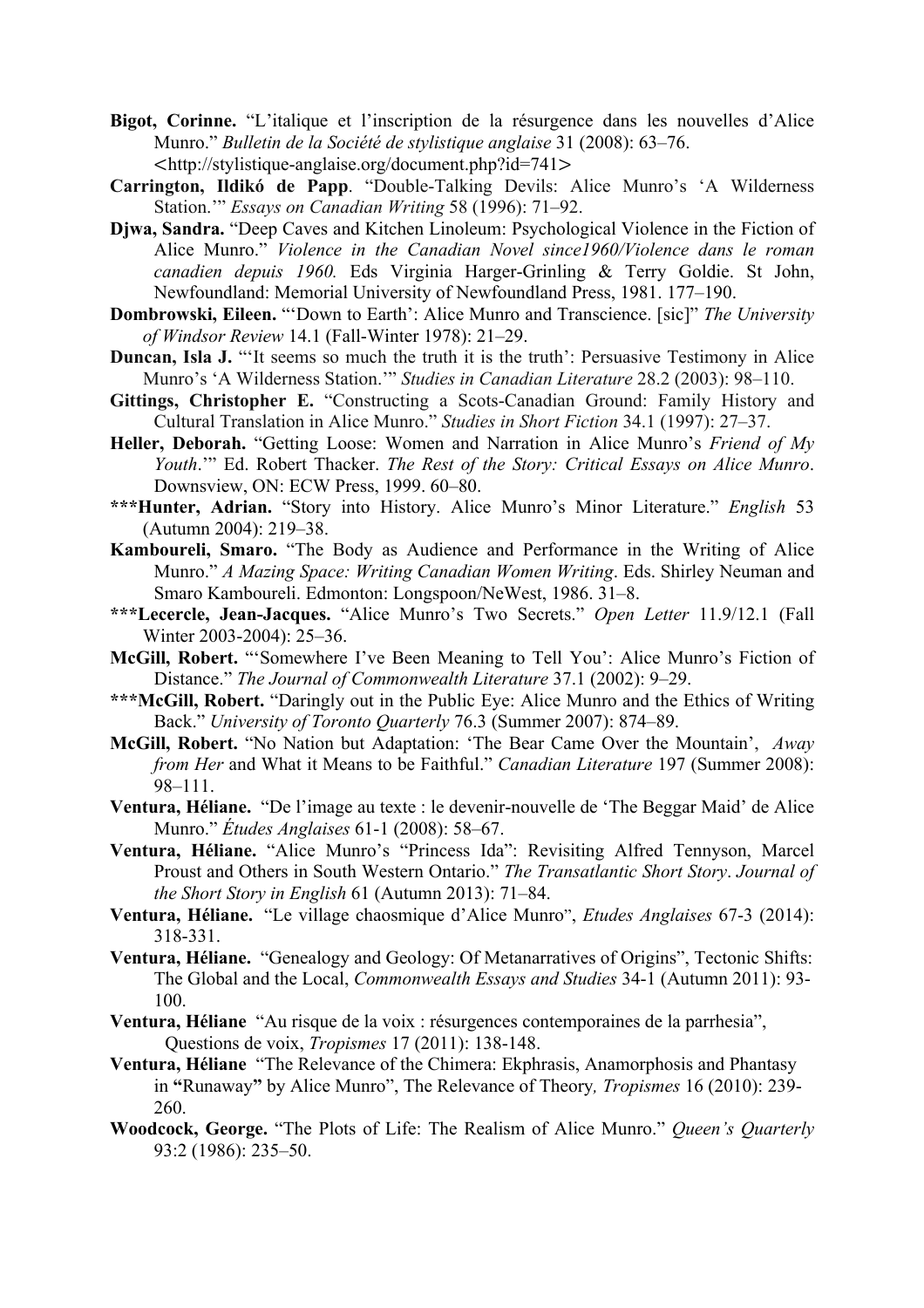- **Bigot, Corinne.** "L'italique et l'inscription de la résurgence dans les nouvelles d'Alice Munro." *Bulletin de la Société de stylistique anglaise* 31 (2008): 63–76. <http://stylistique-anglaise.org/document.php?id=741>
- **Carrington, Ildikó de Papp**. "Double-Talking Devils: Alice Munro's 'A Wilderness Station.'" *Essays on Canadian Writing* 58 (1996): 71–92.
- **Djwa, Sandra.** "Deep Caves and Kitchen Linoleum: Psychological Violence in the Fiction of Alice Munro." *Violence in the Canadian Novel since1960/Violence dans le roman canadien depuis 1960.* Eds Virginia Harger-Grinling & Terry Goldie. St John, Newfoundland: Memorial University of Newfoundland Press, 1981. 177–190.
- **Dombrowski, Eileen.** "'Down to Earth': Alice Munro and Transcience. [sic]" *The University of Windsor Review* 14.1 (Fall-Winter 1978): 21–29.
- **Duncan, Isla J.** "'It seems so much the truth it is the truth': Persuasive Testimony in Alice Munro's 'A Wilderness Station.'" *Studies in Canadian Literature* 28.2 (2003): 98–110.
- **Gittings, Christopher E.** "Constructing a Scots-Canadian Ground: Family History and Cultural Translation in Alice Munro." *Studies in Short Fiction* 34.1 (1997): 27–37.
- **Heller, Deborah.** "Getting Loose: Women and Narration in Alice Munro's *Friend of My Youth*.'" Ed. Robert Thacker. *The Rest of the Story: Critical Essays on Alice Munro*. Downsview, ON: ECW Press, 1999. 60–80.
- **\*\*\*Hunter, Adrian.** "Story into History. Alice Munro's Minor Literature." *English* 53 (Autumn 2004): 219–38.
- **Kamboureli, Smaro.** "The Body as Audience and Performance in the Writing of Alice Munro." *A Mazing Space: Writing Canadian Women Writing*. Eds. Shirley Neuman and Smaro Kamboureli. Edmonton: Longspoon/NeWest, 1986. 31–8.
- **\*\*\*Lecercle, Jean-Jacques.** "Alice Munro's Two Secrets." *Open Letter* 11.9/12.1 (Fall Winter 2003-2004): 25–36.
- **McGill, Robert.** "'Somewhere I've Been Meaning to Tell You': Alice Munro's Fiction of Distance." *The Journal of Commonwealth Literature* 37.1 (2002): 9–29.
- **\*\*\*McGill, Robert.** "Daringly out in the Public Eye: Alice Munro and the Ethics of Writing Back." *University of Toronto Quarterly* 76.3 (Summer 2007): 874–89.
- **McGill, Robert.** "No Nation but Adaptation: 'The Bear Came Over the Mountain', *Away from Her* and What it Means to be Faithful." *Canadian Literature* 197 (Summer 2008): 98–111.
- **Ventura, Héliane.** "De l'image au texte : le devenir-nouvelle de 'The Beggar Maid' de Alice Munro." *Études Anglaises* 61-1 (2008): 58–67.
- **Ventura, Héliane.** "Alice Munro's "Princess Ida": Revisiting Alfred Tennyson, Marcel Proust and Others in South Western Ontario." *The Transatlantic Short Story*. *Journal of the Short Story in English* 61 (Autumn 2013): 71–84.
- **Ventura, Héliane.** "Le village chaosmique d'Alice Munro", *Etudes Anglaises* 67-3 (2014): 318-331.
- **Ventura, Héliane.** "Genealogy and Geology: Of Metanarratives of Origins", Tectonic Shifts: The Global and the Local, *Commonwealth Essays and Studies* 34-1 (Autumn 2011): 93- 100.
- **Ventura, Héliane** "Au risque de la voix : résurgences contemporaines de la parrhesia", Questions de voix, *Tropismes* 17 (2011): 138-148.
- **Ventura, Héliane** "The Relevance of the Chimera: Ekphrasis, Anamorphosis and Phantasy in **"**Runaway**"** by Alice Munro", The Relevance of Theory*, Tropismes* 16 (2010): 239- 260.
- **Woodcock, George.** "The Plots of Life: The Realism of Alice Munro." *Queen's Quarterly* 93:2 (1986): 235–50.